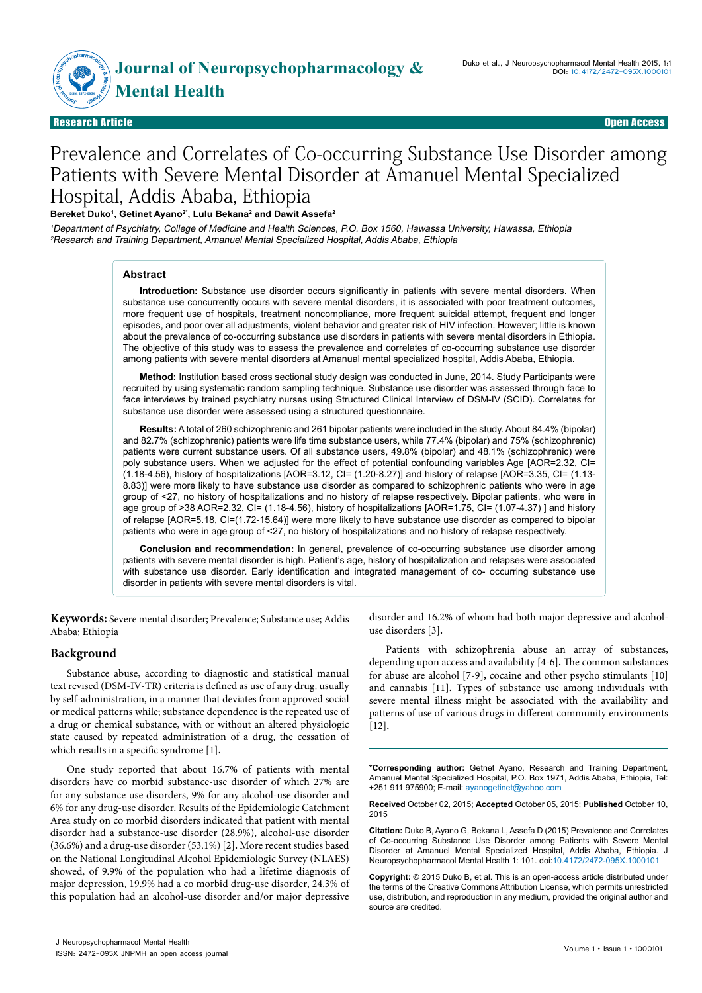

# Research Article Open Access

# Prevalence and Correlates of Co-occurring Substance Use Disorder among Patients with Severe Mental Disorder at Amanuel Mental Specialized Hospital, Addis Ababa, Ethiopia

#### **Bereket Duko1 , Getinet Ayano2\*, Lulu Bekana2 and Dawit Assefa2**

<sup>1</sup>Department of Psychiatry, College of Medicine and Health Sciences, P.O. Box 1560, Hawassa University, Hawassa, Ethiopia <sup>2</sup>Research and Training Department, Amanuel Mental Specialized Hospital, Addis Ababa, Ethiopia

#### **Abstract**

**Introduction:** Substance use disorder occurs significantly in patients with severe mental disorders. When substance use concurrently occurs with severe mental disorders, it is associated with poor treatment outcomes, more frequent use of hospitals, treatment noncompliance, more frequent suicidal attempt, frequent and longer episodes, and poor over all adjustments, violent behavior and greater risk of HIV infection. However; little is known about the prevalence of co-occurring substance use disorders in patients with severe mental disorders in Ethiopia. The objective of this study was to assess the prevalence and correlates of co-occurring substance use disorder among patients with severe mental disorders at Amanual mental specialized hospital, Addis Ababa, Ethiopia.

**Method:** Institution based cross sectional study design was conducted in June, 2014. Study Participants were recruited by using systematic random sampling technique. Substance use disorder was assessed through face to face interviews by trained psychiatry nurses using Structured Clinical Interview of DSM-IV (SCID). Correlates for substance use disorder were assessed using a structured questionnaire.

**Results:** A total of 260 schizophrenic and 261 bipolar patients were included in the study. About 84.4% (bipolar) and 82.7% (schizophrenic) patients were life time substance users, while 77.4% (bipolar) and 75% (schizophrenic) patients were current substance users. Of all substance users, 49.8% (bipolar) and 48.1% (schizophrenic) were poly substance users. When we adjusted for the effect of potential confounding variables Age [AOR=2.32, CI= (1.18-4.56), history of hospitalizations [AOR=3.12, CI= (1.20-8.27)] and history of relapse [AOR=3.35, CI= (1.13- 8.83)] were more likely to have substance use disorder as compared to schizophrenic patients who were in age group of <27, no history of hospitalizations and no history of relapse respectively. Bipolar patients, who were in age group of >38 AOR=2.32, CI= (1.18-4.56), history of hospitalizations [AOR=1.75, CI= (1.07-4.37) ] and history of relapse [AOR=5.18, CI=(1.72-15.64)] were more likely to have substance use disorder as compared to bipolar patients who were in age group of <27, no history of hospitalizations and no history of relapse respectively.

**Conclusion and recommendation:** In general, prevalence of co-occurring substance use disorder among patients with severe mental disorder is high. Patient's age, history of hospitalization and relapses were associated with substance use disorder. Early identification and integrated management of co- occurring substance use disorder in patients with severe mental disorders is vital.

use disorders [3]**.**

**Keywords:** Severe mental disorder; Prevalence; Substance use; Addis Ababa; Ethiopia

#### **Background**

Substance abuse, according to diagnostic and statistical manual text revised (DSM-ΙѴ-TR) criteria is defined as use of any drug, usually by self-administration, in a manner that deviates from approved social or medical patterns while; substance dependence is the repeated use of a drug or chemical substance, with or without an altered physiologic state caused by repeated administration of a drug, the cessation of which results in a specific syndrome [1]**.**

One study reported that about 16.7% of patients with mental disorders have co morbid substance-use disorder of which 27% are for any substance use disorders, 9% for any alcohol-use disorder and 6% for any drug-use disorder. Results of the Epidemiologic Catchment Area study on co morbid disorders indicated that patient with mental disorder had a substance-use disorder (28.9%), alcohol-use disorder (36.6%) and a drug-use disorder (53.1%) [2]**.** More recent studies based on the National Longitudinal Alcohol Epidemiologic Survey (NLAES) showed, of 9.9% of the population who had a lifetime diagnosis of major depression, 19.9% had a co morbid drug-use disorder, 24.3% of this population had an alcohol-use disorder and/or major depressive

Patients with schizophrenia abuse an array of substances, depending upon access and availability [4-6]**.** The common substances

for abuse are alcohol [7-9]**,** cocaine and other psycho stimulants [10] and cannabis [11]**.** Types of substance use among individuals with severe mental illness might be associated with the availability and patterns of use of various drugs in different community environments [12]**.**

disorder and 16.2% of whom had both major depressive and alcohol-

**\*Corresponding author:** Getnet Ayano, Research and Training Department, Amanuel Mental Specialized Hospital, P.O. Box 1971, Addis Ababa, Ethiopia, Tel: +251 911 975900; E-mail: ayanogetinet@yahoo.com

**Received** October 02, 2015; **Accepted** October 05, 2015; **Published** October 10, 2015

**Citation:** Duko B, Ayano G, Bekana L, Assefa D (2015) Prevalence and Correlates of Co-occurring Substance Use Disorder among Patients with Severe Mental Disorder at Amanuel Mental Specialized Hospital, Addis Ababa, Ethiopia. J Neuropsychopharmacol Mental Health 1: 101. doi:10.4172/2472-095X.1000101

**Copyright:** © 2015 Duko B, et al. This is an open-access article distributed under the terms of the Creative Commons Attribution License, which permits unrestricted use, distribution, and reproduction in any medium, provided the original author and source are credited.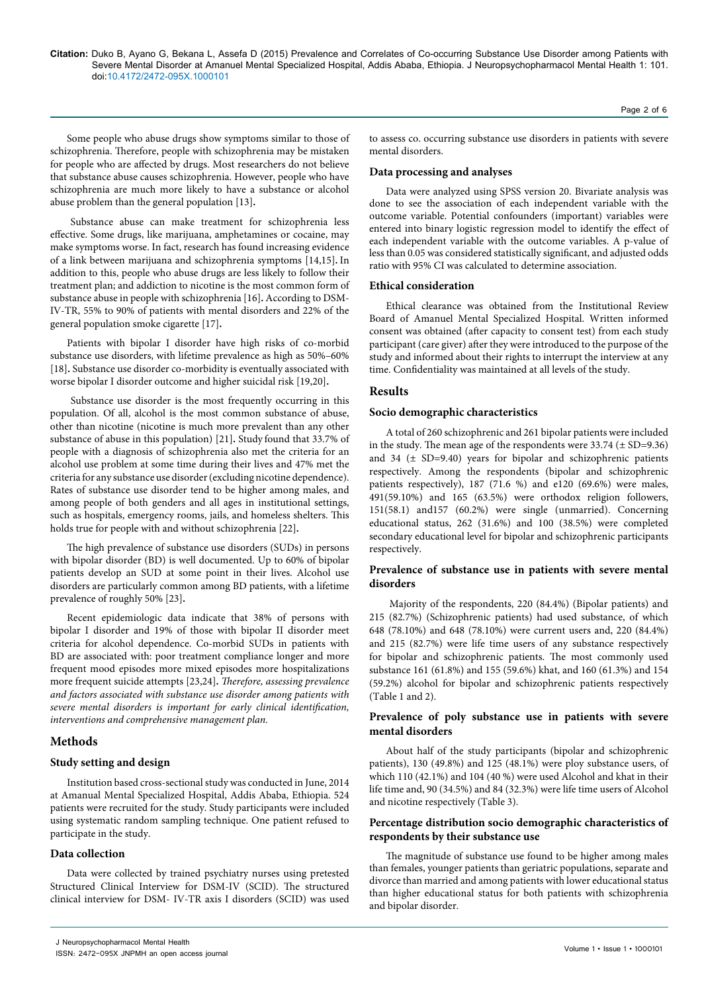Some people who abuse drugs show symptoms similar to those of schizophrenia. Therefore, people with schizophrenia may be mistaken for people who are affected by drugs. Most researchers do not believe that substance abuse causes schizophrenia. However, people who have schizophrenia are much more likely to have a substance or alcohol abuse problem than the general population [13]**.**

Substance abuse can make treatment for schizophrenia less effective. Some drugs, like marijuana, amphetamines or cocaine, may make symptoms worse. In fact, research has found increasing evidence of a link between marijuana and schizophrenia symptoms [14,15]**.** In addition to this, people who abuse drugs are less likely to follow their treatment plan; and addiction to nicotine is the most common form of substance abuse in people with schizophrenia [16]**.** According to DSM-ΙѴ-TR, 55% to 90% of patients with mental disorders and 22% of the general population smoke cigarette [17]**.** 

Patients with bipolar I disorder have high risks of co-morbid substance use disorders, with lifetime prevalence as high as 50%–60% [18]**.** Substance use disorder co-morbidity is eventually associated with worse bipolar I disorder outcome and higher suicidal risk [19,20]**.**

 Substance use disorder is the most frequently occurring in this population. Of all, alcohol is the most common substance of abuse, other than nicotine (nicotine is much more prevalent than any other substance of abuse in this population) [21]**.** Study found that 33.7% of people with a diagnosis of schizophrenia also met the criteria for an alcohol use problem at some time during their lives and 47% met the criteria for any substance use disorder (excluding nicotine dependence). Rates of substance use disorder tend to be higher among males, and among people of both genders and all ages in institutional settings, such as hospitals, emergency rooms, jails, and homeless shelters. This holds true for people with and without schizophrenia [22]**.**

The high prevalence of substance use disorders (SUDs) in persons with bipolar disorder (BD) is well documented. Up to 60% of bipolar patients develop an SUD at some point in their lives. Alcohol use disorders are particularly common among BD patients, with a lifetime prevalence of roughly 50% [23]**.**

Recent epidemiologic data indicate that 38% of persons with bipolar I disorder and 19% of those with bipolar II disorder meet criteria for alcohol dependence. Co-morbid SUDs in patients with BD are associated with: poor treatment compliance longer and more frequent mood episodes more mixed episodes more hospitalizations more frequent suicide attempts [23,24]**.** *Therefore, assessing prevalence and factors associated with substance use disorder among patients with severe mental disorders is important for early clinical identification, interventions and comprehensive management plan.*

# **Methods**

## **Study setting and design**

Institution based cross-sectional study was conducted in June, 2014 at Amanual Mental Specialized Hospital, Addis Ababa, Ethiopia. 524 patients were recruited for the study. Study participants were included using systematic random sampling technique. One patient refused to participate in the study.

## **Data collection**

Data were collected by trained psychiatry nurses using pretested Structured Clinical Interview for DSM-IV (SCID). The structured clinical interview for DSM- ΙѴ-TR axis Ι disorders (SCID) was used Page 2 of 6

to assess co. occurring substance use disorders in patients with severe mental disorders.

## **Data processing and analyses**

Data were analyzed using SPSS version 20. Bivariate analysis was done to see the association of each independent variable with the outcome variable. Potential confounders (important) variables were entered into binary logistic regression model to identify the effect of each independent variable with the outcome variables. A p-value of less than 0.05 was considered statistically significant, and adjusted odds ratio with 95% CI was calculated to determine association.

#### **Ethical consideration**

Ethical clearance was obtained from the Institutional Review Board of Amanuel Mental Specialized Hospital. Written informed consent was obtained (after capacity to consent test) from each study participant (care giver) after they were introduced to the purpose of the study and informed about their rights to interrupt the interview at any time. Confidentiality was maintained at all levels of the study.

## **Results**

#### **Socio demographic characteristics**

A total of 260 schizophrenic and 261 bipolar patients were included in the study. The mean age of the respondents were 33.74 (± SD=9.36) and 34 (± SD=9.40) years for bipolar and schizophrenic patients respectively. Among the respondents (bipolar and schizophrenic patients respectively), 187 (71.6 %) and e120 (69.6%) were males, 491(59.10%) and 165 (63.5%) were orthodox religion followers, 151(58.1) and157 (60.2%) were single (unmarried). Concerning educational status, 262 (31.6%) and 100 (38.5%) were completed secondary educational level for bipolar and schizophrenic participants respectively.

# **Prevalence of substance use in patients with severe mental disorders**

 Majority of the respondents, 220 (84.4%) (Bipolar patients) and 215 (82.7%) (Schizophrenic patients) had used substance, of which 648 (78.10%) and 648 (78.10%) were current users and, 220 (84.4%) and 215 (82.7%) were life time users of any substance respectively for bipolar and schizophrenic patients. The most commonly used substance 161 (61.8%) and 155 (59.6%) khat, and 160 (61.3%) and 154 (59.2%) alcohol for bipolar and schizophrenic patients respectively (Table 1 and 2).

# **Prevalence of poly substance use in patients with severe mental disorders**

About half of the study participants (bipolar and schizophrenic patients), 130 (49.8%) and 125 (48.1%) were ploy substance users, of which 110 (42.1%) and 104 (40 %) were used Alcohol and khat in their life time and, 90 (34.5%) and 84 (32.3%) were life time users of Alcohol and nicotine respectively (Table 3).

# **Percentage distribution socio demographic characteristics of respondents by their substance use**

The magnitude of substance use found to be higher among males than females, younger patients than geriatric populations, separate and divorce than married and among patients with lower educational status than higher educational status for both patients with schizophrenia and bipolar disorder.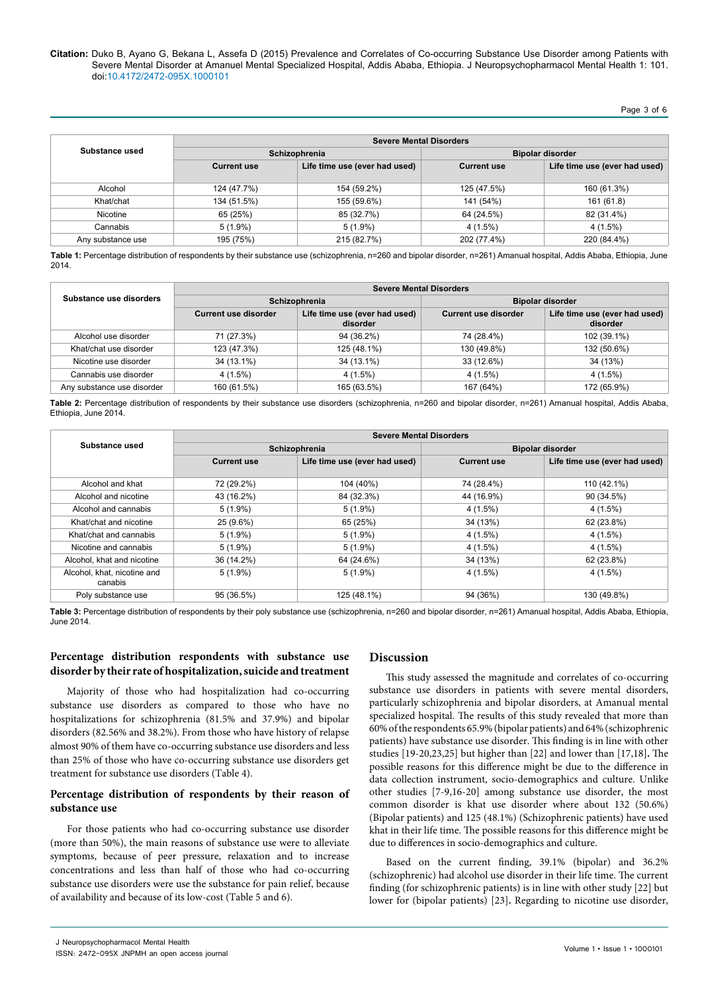Page 3 of 6

| Substance used    | <b>Severe Mental Disorders</b> |                               |                         |                               |  |
|-------------------|--------------------------------|-------------------------------|-------------------------|-------------------------------|--|
|                   | Schizophrenia                  |                               | <b>Bipolar disorder</b> |                               |  |
|                   | <b>Current use</b>             | Life time use (ever had used) | <b>Current use</b>      | Life time use (ever had used) |  |
| Alcohol           | 124 (47.7%)                    | 154 (59.2%)                   | 125 (47.5%)             | 160 (61.3%)                   |  |
| Khat/chat         | 134 (51.5%)                    | 155 (59.6%)                   | 141 (54%)               | 161 (61.8)                    |  |
| Nicotine          | 65 (25%)                       | 85 (32.7%)                    | 64 (24.5%)              | 82 (31.4%)                    |  |
| Cannabis          | $5(1.9\%)$                     | $5(1.9\%)$                    | $4(1.5\%)$              | $4(1.5\%)$                    |  |
| Any substance use | 195 (75%)                      | 215 (82.7%)                   | 202 (77.4%)             | 220 (84.4%)                   |  |

**Table 1:** Percentage distribution of respondents by their substance use (schizophrenia, n=260 and bipolar disorder, n=261) Amanual hospital, Addis Ababa, Ethiopia, June 2014.

| Substance use disorders    | <b>Severe Mental Disorders</b> |                                           |                         |                                           |  |
|----------------------------|--------------------------------|-------------------------------------------|-------------------------|-------------------------------------------|--|
|                            | Schizophrenia                  |                                           | <b>Bipolar disorder</b> |                                           |  |
|                            | Current use disorder           | Life time use (ever had used)<br>disorder | Current use disorder    | Life time use (ever had used)<br>disorder |  |
| Alcohol use disorder       | 71 (27.3%)                     | 94 (36.2%)                                | 74 (28.4%)              | 102 (39.1%)                               |  |
| Khat/chat use disorder     | 123 (47.3%)                    | 125 (48.1%)                               | 130 (49.8%)             | 132 (50.6%)                               |  |
| Nicotine use disorder      | 34 (13.1%)                     | 34 (13.1%)                                | 33 (12.6%)              | 34 (13%)                                  |  |
| Cannabis use disorder      | $4(1.5\%)$                     | 4 (1.5%)                                  | $4(1.5\%)$              | $4(1.5\%)$                                |  |
| Any substance use disorder | 160 (61.5%)                    | 165 (63.5%)                               | 167 (64%)               | 172 (65.9%)                               |  |

**Table 2:** Percentage distribution of respondents by their substance use disorders (schizophrenia, n=260 and bipolar disorder, n=261) Amanual hospital, Addis Ababa, Ethiopia, June 2014.

|                                        | <b>Severe Mental Disorders</b> |                               |                         |                               |  |
|----------------------------------------|--------------------------------|-------------------------------|-------------------------|-------------------------------|--|
| Substance used                         |                                | Schizophrenia                 | <b>Bipolar disorder</b> |                               |  |
|                                        | <b>Current use</b>             | Life time use (ever had used) | <b>Current use</b>      | Life time use (ever had used) |  |
| Alcohol and khat                       | 72 (29.2%)                     | 104 (40%)                     | 74 (28.4%)              | 110 (42.1%)                   |  |
| Alcohol and nicotine                   | 43 (16.2%)                     | 84 (32.3%)                    | 44 (16.9%)              | 90 (34.5%)                    |  |
| Alcohol and cannabis                   | $5(1.9\%)$                     | $5(1.9\%)$                    | $4(1.5\%)$              | $4(1.5\%)$                    |  |
| Khat/chat and nicotine                 | 25 (9.6%)                      | 65 (25%)                      | 34 (13%)                | 62 (23.8%)                    |  |
| Khat/chat and cannabis                 | $5(1.9\%)$                     | $5(1.9\%)$                    | $4(1.5\%)$              | 4(1.5%)                       |  |
| Nicotine and cannabis                  | $5(1.9\%)$                     | $5(1.9\%)$                    | $4(1.5\%)$              | $4(1.5\%)$                    |  |
| Alcohol, khat and nicotine             | 36 (14.2%)                     | 64 (24.6%)                    | 34 (13%)                | 62 (23.8%)                    |  |
| Alcohol, khat, nicotine and<br>canabis | $5(1.9\%)$                     | $5(1.9\%)$                    | $4(1.5\%)$              | $4(1.5\%)$                    |  |
| Poly substance use                     | 95 (36.5%)                     | 125 (48.1%)                   | 94 (36%)                | 130 (49.8%)                   |  |

**Table 3:** Percentage distribution of respondents by their poly substance use (schizophrenia, n=260 and bipolar disorder, n=261) Amanual hospital, Addis Ababa, Ethiopia, June 2014.

# **Percentage distribution respondents with substance use disorder by their rate of hospitalization, suicide and treatment**

Majority of those who had hospitalization had co-occurring substance use disorders as compared to those who have no hospitalizations for schizophrenia (81.5% and 37.9%) and bipolar disorders (82.56% and 38.2%). From those who have history of relapse almost 90% of them have co-occurring substance use disorders and less than 25% of those who have co-occurring substance use disorders get treatment for substance use disorders (Table 4).

# **Percentage distribution of respondents by their reason of substance use**

For those patients who had co-occurring substance use disorder (more than 50%), the main reasons of substance use were to alleviate symptoms, because of peer pressure, relaxation and to increase concentrations and less than half of those who had co-occurring substance use disorders were use the substance for pain relief, because of availability and because of its low-cost (Table 5 and 6).

# **Discussion**

This study assessed the magnitude and correlates of co-occurring substance use disorders in patients with severe mental disorders, particularly schizophrenia and bipolar disorders, at Amanual mental specialized hospital. The results of this study revealed that more than 60% of the respondents 65.9% (bipolar patients) and 64% (schizophrenic patients) have substance use disorder. This finding is in line with other studies [19-20,23,25] but higher than [22] and lower than [17,18]**.** The possible reasons for this difference might be due to the difference in data collection instrument, socio-demographics and culture. Unlike other studies [7-9,16-20] among substance use disorder, the most common disorder is khat use disorder where about 132 (50.6%) (Bipolar patients) and 125 (48.1%) (Schizophrenic patients) have used khat in their life time. The possible reasons for this difference might be due to differences in socio-demographics and culture.

Based on the current finding, 39.1% (bipolar) and 36.2% (schizophrenic) had alcohol use disorder in their life time. The current finding (for schizophrenic patients) is in line with other study [22] but lower for (bipolar patients) [23]**.** Regarding to nicotine use disorder,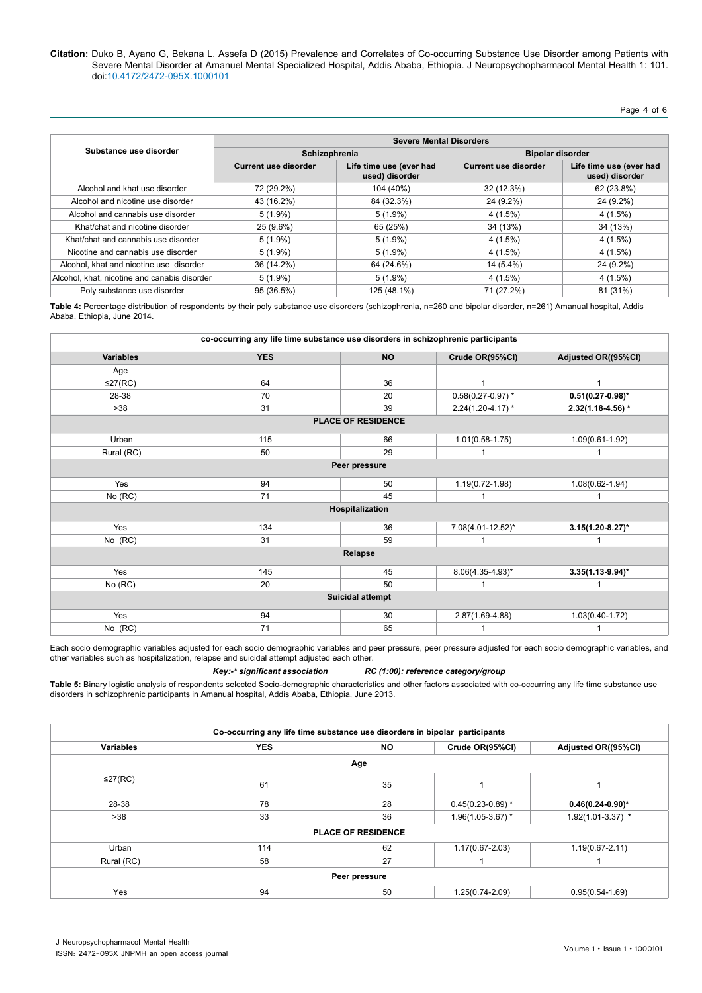Page 4 of 6

|                                              | <b>Severe Mental Disorders</b> |                                           |                             |                                           |  |
|----------------------------------------------|--------------------------------|-------------------------------------------|-----------------------------|-------------------------------------------|--|
| Substance use disorder                       | Schizophrenia                  |                                           | <b>Bipolar disorder</b>     |                                           |  |
|                                              | Current use disorder           | Life time use (ever had<br>used) disorder | <b>Current use disorder</b> | Life time use (ever had<br>used) disorder |  |
| Alcohol and khat use disorder                | 72 (29.2%)                     | 104 (40%)                                 | 32 (12.3%)                  | 62 (23.8%)                                |  |
| Alcohol and nicotine use disorder            | 43 (16.2%)                     | 84 (32.3%)                                | 24 (9.2%)                   | 24 (9.2%)                                 |  |
| Alcohol and cannabis use disorder            | $5(1.9\%)$                     | $5(1.9\%)$                                | $4(1.5\%)$                  | 4 (1.5%)                                  |  |
| Khat/chat and nicotine disorder              | 25 (9.6%)                      | 65 (25%)                                  | 34 (13%)                    | 34 (13%)                                  |  |
| Khat/chat and cannabis use disorder          | $5(1.9\%)$                     | $5(1.9\%)$                                | $4(1.5\%)$                  | 4(1.5%)                                   |  |
| Nicotine and cannabis use disorder           | $5(1.9\%)$                     | $5(1.9\%)$                                | $4(1.5\%)$                  | $4(1.5\%)$                                |  |
| Alcohol, khat and nicotine use disorder      | 36 (14.2%)                     | 64 (24.6%)                                | 14 (5.4%)                   | 24 (9.2%)                                 |  |
| Alcohol, khat, nicotine and canabis disorder | $5(1.9\%)$                     | $5(1.9\%)$                                | $4(1.5\%)$                  | $4(1.5\%)$                                |  |
| Poly substance use disorder                  | 95 (36.5%)                     | 125 (48.1%)                               | 71 (27.2%)                  | 81 (31%)                                  |  |

**Table 4:** Percentage distribution of respondents by their poly substance use disorders (schizophrenia, n=260 and bipolar disorder, n=261) Amanual hospital, Addis Ababa, Ethiopia, June 2014.

| co-occurring any life time substance use disorders in schizophrenic participants |            |                           |                       |                       |  |
|----------------------------------------------------------------------------------|------------|---------------------------|-----------------------|-----------------------|--|
| <b>Variables</b>                                                                 | <b>YES</b> | <b>NO</b>                 | Crude OR(95%CI)       | Adjusted OR((95%CI)   |  |
| Age                                                                              |            |                           |                       |                       |  |
| ≤27(RC)                                                                          | 64         | 36                        | $\mathbf 1$           | 1                     |  |
| 28-38                                                                            | 70         | 20                        | $0.58(0.27 - 0.97)$ * | $0.51(0.27-0.98)^{*}$ |  |
| $>38$                                                                            | 31         | 39                        | $2.24(1.20 - 4.17)$ * | $2.32(1.18 - 4.56)$ * |  |
|                                                                                  |            | <b>PLACE OF RESIDENCE</b> |                       |                       |  |
| Urban                                                                            | 115        | 66                        | $1.01(0.58-1.75)$     | $1.09(0.61 - 1.92)$   |  |
| Rural (RC)                                                                       | 50         | 29                        |                       |                       |  |
|                                                                                  |            | Peer pressure             |                       |                       |  |
| Yes                                                                              | 94         | 50                        | $1.19(0.72 - 1.98)$   | $1.08(0.62 - 1.94)$   |  |
| No (RC)                                                                          | 71         | 45                        |                       |                       |  |
|                                                                                  |            | Hospitalization           |                       |                       |  |
| Yes                                                                              | 134        | 36                        | 7.08(4.01-12.52)*     | $3.15(1.20 - 8.27)^*$ |  |
| No (RC)                                                                          | 31         | 59                        |                       |                       |  |
| Relapse                                                                          |            |                           |                       |                       |  |
| Yes                                                                              | 145        | 45                        | $8.06(4.35 - 4.93)^*$ | $3.35(1.13 - 9.94)^*$ |  |
| No (RC)                                                                          | 20         | 50                        | 1                     | 1                     |  |
| <b>Suicidal attempt</b>                                                          |            |                           |                       |                       |  |
| Yes                                                                              | 94         | 30                        | $2.87(1.69-4.88)$     | $1.03(0.40 - 1.72)$   |  |
| No (RC)                                                                          | 71         | 65                        |                       | 1                     |  |

Each socio demographic variables adjusted for each socio demographic variables and peer pressure, peer pressure adjusted for each socio demographic variables, and other variables such as hospitalization, relapse and suicidal attempt adjusted each other.

*Key:-\* significant association RC (1:00): reference category/group*

**Table 5:** Binary logistic analysis of respondents selected Socio-demographic characteristics and other factors associated with co-occurring any life time substance use disorders in schizophrenic participants in Amanual hospital, Addis Ababa, Ethiopia, June 2013.

| Co-occurring any life time substance use disorders in bipolar participants |            |                           |                     |                       |  |
|----------------------------------------------------------------------------|------------|---------------------------|---------------------|-----------------------|--|
| Variables                                                                  | <b>YES</b> | <b>NO</b>                 | Crude OR(95%CI)     | Adjusted OR((95%CI)   |  |
|                                                                            |            | Age                       |                     |                       |  |
| ≤27(RC)                                                                    | 61         | 35                        |                     |                       |  |
| 28-38                                                                      | 78         | 28                        | $0.45(0.23-0.89)$ * | $0.46(0.24-0.90)^{*}$ |  |
| >38                                                                        | 33         | 36                        | $1.96(1.05-3.67)$ * | $1.92(1.01-3.37)$ *   |  |
|                                                                            |            | <b>PLACE OF RESIDENCE</b> |                     |                       |  |
| Urban                                                                      | 114        | 62                        | 1.17(0.67-2.03)     | $1.19(0.67 - 2.11)$   |  |
| Rural (RC)                                                                 | 58         | 27                        |                     |                       |  |
|                                                                            |            | Peer pressure             |                     |                       |  |
| Yes                                                                        | 94         | 50                        | $1.25(0.74 - 2.09)$ | $0.95(0.54 - 1.69)$   |  |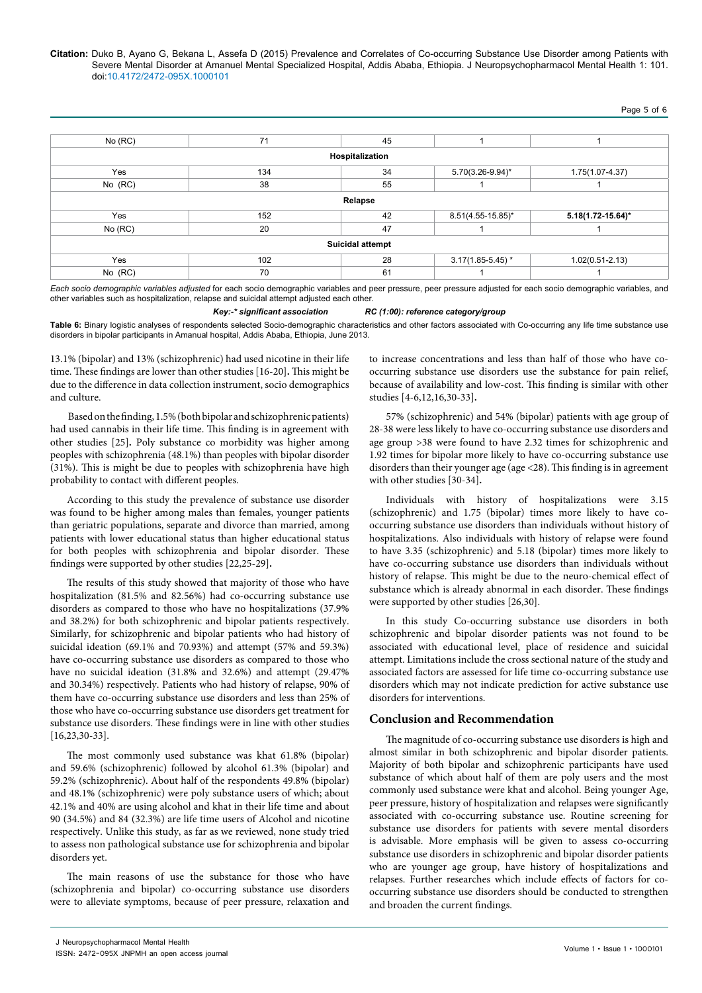Page 5 of 6

| No (RC)          | 71  | 45              |                       |                        |  |
|------------------|-----|-----------------|-----------------------|------------------------|--|
|                  |     | Hospitalization |                       |                        |  |
| Yes              | 134 | 34              | 5.70(3.26-9.94)*      | 1.75(1.07-4.37)        |  |
| No (RC)          | 38  | 55              |                       |                        |  |
| Relapse          |     |                 |                       |                        |  |
| Yes              | 152 | 42              | 8.51(4.55-15.85)*     | $5.18(1.72 - 15.64)^*$ |  |
| No (RC)          | 20  | 47              |                       |                        |  |
| Suicidal attempt |     |                 |                       |                        |  |
| Yes              | 102 | 28              | $3.17(1.85 - 5.45)^*$ | $1.02(0.51 - 2.13)$    |  |
| No (RC)          | 70  | 61              |                       |                        |  |

*Each socio demographic variables adjusted* for each socio demographic variables and peer pressure, peer pressure adjusted for each socio demographic variables, and other variables such as hospitalization, relapse and suicidal attempt adjusted each other.

*Key:-\* significant association RC (1:00): reference category/group*

Table 6: Binary logistic analyses of respondents selected Socio-demographic characteristics and other factors associated with Co-occurring any life time substance use disorders in bipolar participants in Amanual hospital, Addis Ababa, Ethiopia, June 2013.

13.1% (bipolar) and 13% (schizophrenic) had used nicotine in their life time. These findings are lower than other studies [16-20]**.** This might be due to the difference in data collection instrument, socio demographics and culture.

 Based on the finding, 1.5% (both bipolar and schizophrenic patients) had used cannabis in their life time. This finding is in agreement with other studies [25]**.** Poly substance co morbidity was higher among peoples with schizophrenia (48.1%) than peoples with bipolar disorder (31%). This is might be due to peoples with schizophrenia have high probability to contact with different peoples.

According to this study the prevalence of substance use disorder was found to be higher among males than females, younger patients than geriatric populations, separate and divorce than married, among patients with lower educational status than higher educational status for both peoples with schizophrenia and bipolar disorder. These findings were supported by other studies [22,25-29]**.**

The results of this study showed that majority of those who have hospitalization (81.5% and 82.56%) had co-occurring substance use disorders as compared to those who have no hospitalizations (37.9% and 38.2%) for both schizophrenic and bipolar patients respectively. Similarly, for schizophrenic and bipolar patients who had history of suicidal ideation (69.1% and 70.93%) and attempt (57% and 59.3%) have co-occurring substance use disorders as compared to those who have no suicidal ideation (31.8% and 32.6%) and attempt (29.47% and 30.34%) respectively. Patients who had history of relapse, 90% of them have co-occurring substance use disorders and less than 25% of those who have co-occurring substance use disorders get treatment for substance use disorders. These findings were in line with other studies [16,23,30-33].

The most commonly used substance was khat 61.8% (bipolar) and 59.6% (schizophrenic) followed by alcohol 61.3% (bipolar) and 59.2% (schizophrenic). About half of the respondents 49.8% (bipolar) and 48.1% (schizophrenic) were poly substance users of which; about 42.1% and 40% are using alcohol and khat in their life time and about 90 (34.5%) and 84 (32.3%) are life time users of Alcohol and nicotine respectively. Unlike this study, as far as we reviewed, none study tried to assess non pathological substance use for schizophrenia and bipolar disorders yet.

The main reasons of use the substance for those who have (schizophrenia and bipolar) co-occurring substance use disorders were to alleviate symptoms, because of peer pressure, relaxation and to increase concentrations and less than half of those who have cooccurring substance use disorders use the substance for pain relief, because of availability and low-cost. This finding is similar with other studies [4-6,12,16,30-33]**.**

57% (schizophrenic) and 54% (bipolar) patients with age group of 28-38 were less likely to have co-occurring substance use disorders and age group >38 were found to have 2.32 times for schizophrenic and 1.92 times for bipolar more likely to have co-occurring substance use disorders than their younger age (age <28). This finding is in agreement with other studies [30-34]**.**

Individuals with history of hospitalizations were 3.15 (schizophrenic) and 1.75 (bipolar) times more likely to have cooccurring substance use disorders than individuals without history of hospitalizations. Also individuals with history of relapse were found to have 3.35 (schizophrenic) and 5.18 (bipolar) times more likely to have co-occurring substance use disorders than individuals without history of relapse. This might be due to the neuro-chemical effect of substance which is already abnormal in each disorder. These findings were supported by other studies [26,30].

In this study Co-occurring substance use disorders in both schizophrenic and bipolar disorder patients was not found to be associated with educational level, place of residence and suicidal attempt. Limitations include the cross sectional nature of the study and associated factors are assessed for life time co-occurring substance use disorders which may not indicate prediction for active substance use disorders for interventions.

## **Conclusion and Recommendation**

The magnitude of co-occurring substance use disorders is high and almost similar in both schizophrenic and bipolar disorder patients. Majority of both bipolar and schizophrenic participants have used substance of which about half of them are poly users and the most commonly used substance were khat and alcohol. Being younger Age, peer pressure, history of hospitalization and relapses were significantly associated with co-occurring substance use. Routine screening for substance use disorders for patients with severe mental disorders is advisable. More emphasis will be given to assess co-occurring substance use disorders in schizophrenic and bipolar disorder patients who are younger age group, have history of hospitalizations and relapses. Further researches which include effects of factors for cooccurring substance use disorders should be conducted to strengthen and broaden the current findings.